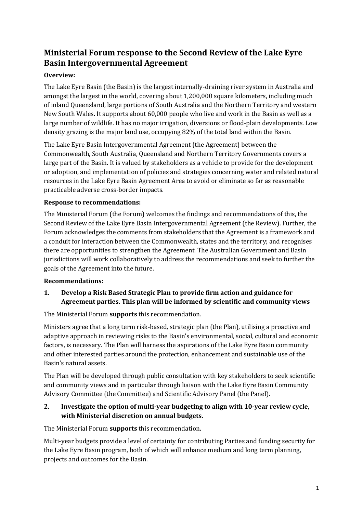# **Ministerial Forum response to the Second Review of the Lake Eyre Basin Intergovernmental Agreement**

## **Overview:**

The Lake Eyre Basin (the Basin) is the largest internally-draining river system in Australia and amongst the largest in the world, covering about 1,200,000 square kilometers, including much of inland Queensland, large portions of South Australia and the Northern Territory and western New South Wales. It supports about 60,000 people who live and work in the Basin as well as a large number of wildlife. It has no major irrigation, diversions or flood-plain developments. Low density grazing is the major land use, occupying 82% of the total land within the Basin.

The Lake Eyre Basin Intergovernmental Agreement (the Agreement) between the Commonwealth, South Australia, Queensland and Northern Territory Governments covers a large part of the Basin. It is valued by stakeholders as a vehicle to provide for the development or adoption, and implementation of policies and strategies concerning water and related natural resources in the Lake Eyre Basin Agreement Area to avoid or eliminate so far as reasonable practicable adverse cross-border impacts.

#### **Response to recommendations:**

The Ministerial Forum (the Forum) welcomes the findings and recommendations of this, the Second Review of the Lake Eyre Basin Intergovernmental Agreement (the Review). Further, the Forum acknowledges the comments from stakeholders that the Agreement is a framework and a conduit for interaction between the Commonwealth, states and the territory; and recognises there are opportunities to strengthen the Agreement. The Australian Government and Basin jurisdictions will work collaboratively to address the recommendations and seek to further the goals of the Agreement into the future.

#### **Recommendations:**

## **1. Develop a Risk Based Strategic Plan to provide firm action and guidance for Agreement parties. This plan will be informed by scientific and community views**

The Ministerial Forum **supports** this recommendation.

Ministers agree that a long term risk-based, strategic plan (the Plan), utilising a proactive and adaptive approach in reviewing risks to the Basin's environmental, social, cultural and economic factors, is necessary. The Plan will harness the aspirations of the Lake Eyre Basin community and other interested parties around the protection, enhancement and sustainable use of the Basin's natural assets.

The Plan will be developed through public consultation with key stakeholders to seek scientific and community views and in particular through liaison with the Lake Eyre Basin Community Advisory Committee (the Committee) and Scientific Advisory Panel (the Panel).

## **2. Investigate the option of multi-year budgeting to align with 10-year review cycle, with Ministerial discretion on annual budgets.**

The Ministerial Forum **supports** this recommendation.

Multi-year budgets provide a level of certainty for contributing Parties and funding security for the Lake Eyre Basin program, both of which will enhance medium and long term planning, projects and outcomes for the Basin.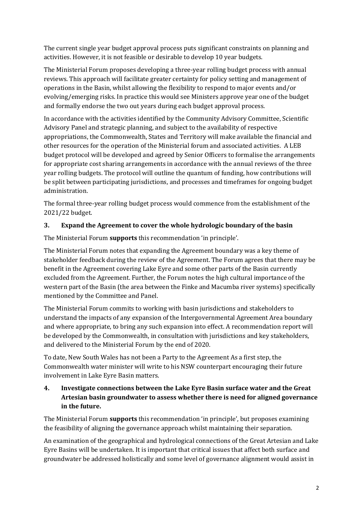The current single year budget approval process puts significant constraints on planning and activities. However, it is not feasible or desirable to develop 10 year budgets.

The Ministerial Forum proposes developing a three-year rolling budget process with annual reviews. This approach will facilitate greater certainty for policy setting and management of operations in the Basin, whilst allowing the flexibility to respond to major events and/or evolving/emerging risks. In practice this would see Ministers approve year one of the budget and formally endorse the two out years during each budget approval process.

In accordance with the activities identified by the Community Advisory Committee, Scientific Advisory Panel and strategic planning, and subject to the availability of respective appropriations, the Commonwealth, States and Territory will make available the financial and other resources for the operation of the Ministerial forum and associated activities. A LEB budget protocol will be developed and agreed by Senior Officers to formalise the arrangements for appropriate cost sharing arrangements in accordance with the annual reviews of the three year rolling budgets. The protocol will outline the quantum of funding, how contributions will be split between participating jurisdictions, and processes and timeframes for ongoing budget administration.

The formal three-year rolling budget process would commence from the establishment of the 2021/22 budget.

#### **3. Expand the Agreement to cover the whole hydrologic boundary of the basin**

The Ministerial Forum **supports** this recommendation 'in principle'.

The Ministerial Forum notes that expanding the Agreement boundary was a key theme of stakeholder feedback during the review of the Agreement. The Forum agrees that there may be benefit in the Agreement covering Lake Eyre and some other parts of the Basin currently excluded from the Agreement. Further, the Forum notes the high cultural importance of the western part of the Basin (the area between the Finke and Macumba river systems) specifically mentioned by the Committee and Panel.

The Ministerial Forum commits to working with basin jurisdictions and stakeholders to understand the impacts of any expansion of the Intergovernmental Agreement Area boundary and where appropriate, to bring any such expansion into effect. A recommendation report will be developed by the Commonwealth, in consultation with jurisdictions and key stakeholders, and delivered to the Ministerial Forum by the end of 2020.

To date, New South Wales has not been a Party to the Agreement As a first step, the Commonwealth water minister will write to his NSW counterpart encouraging their future involvement in Lake Eyre Basin matters.

## **4. Investigate connections between the Lake Eyre Basin surface water and the Great Artesian basin groundwater to assess whether there is need for aligned governance in the future.**

The Ministerial Forum **supports** this recommendation 'in principle', but proposes examining the feasibility of aligning the governance approach whilst maintaining their separation.

An examination of the geographical and hydrological connections of the Great Artesian and Lake Eyre Basins will be undertaken. It is important that critical issues that affect both surface and groundwater be addressed holistically and some level of governance alignment would assist in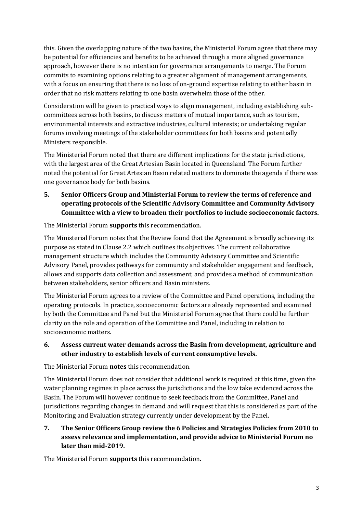this. Given the overlapping nature of the two basins, the Ministerial Forum agree that there may be potential for efficiencies and benefits to be achieved through a more aligned governance approach, however there is no intention for governance arrangements to merge. The Forum commits to examining options relating to a greater alignment of management arrangements, with a focus on ensuring that there is no loss of on-ground expertise relating to either basin in order that no risk matters relating to one basin overwhelm those of the other.

Consideration will be given to practical ways to align management, including establishing subcommittees across both basins, to discuss matters of mutual importance, such as tourism, environmental interests and extractive industries, cultural interests; or undertaking regular forums involving meetings of the stakeholder committees for both basins and potentially Ministers responsible.

The Ministerial Forum noted that there are different implications for the state jurisdictions, with the largest area of the Great Artesian Basin located in Queensland. The Forum further noted the potential for Great Artesian Basin related matters to dominate the agenda if there was one governance body for both basins.

**5. Senior Officers Group and Ministerial Forum to review the terms of reference and operating protocols of the Scientific Advisory Committee and Community Advisory Committee with a view to broaden their portfolios to include socioeconomic factors.** 

The Ministerial Forum **supports** this recommendation.

The Ministerial Forum notes that the Review found that the Agreement is broadly achieving its purpose as stated in Clause 2.2 which outlines its objectives. The current collaborative management structure which includes the Community Advisory Committee and Scientific Advisory Panel, provides pathways for community and stakeholder engagement and feedback, allows and supports data collection and assessment, and provides a method of communication between stakeholders, senior officers and Basin ministers.

The Ministerial Forum agrees to a review of the Committee and Panel operations, including the operating protocols. In practice, socioeconomic factors are already represented and examined by both the Committee and Panel but the Ministerial Forum agree that there could be further clarity on the role and operation of the Committee and Panel, including in relation to socioeconomic matters.

#### **6. Assess current water demands across the Basin from development, agriculture and other industry to establish levels of current consumptive levels.**

The Ministerial Forum **notes** this recommendation.

The Ministerial Forum does not consider that additional work is required at this time, given the water planning regimes in place across the jurisdictions and the low take evidenced across the Basin. The Forum will however continue to seek feedback from the Committee, Panel and jurisdictions regarding changes in demand and will request that this is considered as part of the Monitoring and Evaluation strategy currently under development by the Panel.

**7. The Senior Officers Group review the 6 Policies and Strategies Policies from 2010 to assess relevance and implementation, and provide advice to Ministerial Forum no later than mid-2019.**

The Ministerial Forum **supports** this recommendation.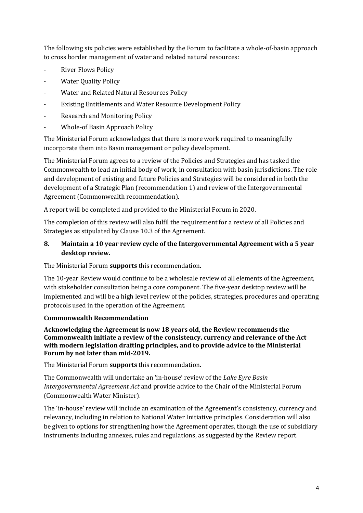The following six policies were established by the Forum to facilitate a whole-of-basin approach to cross border management of water and related natural resources:

- River Flows Policy
- Water Quality Policy
- Water and Related Natural Resources Policy
- Existing Entitlements and Water Resource Development Policy
- Research and Monitoring Policy
- Whole-of Basin Approach Policy

The Ministerial Forum acknowledges that there is more work required to meaningfully incorporate them into Basin management or policy development.

The Ministerial Forum agrees to a review of the Policies and Strategies and has tasked the Commonwealth to lead an initial body of work, in consultation with basin jurisdictions. The role and development of existing and future Policies and Strategies will be considered in both the development of a Strategic Plan (recommendation 1) and review of the Intergovernmental Agreement (Commonwealth recommendation).

A report will be completed and provided to the Ministerial Forum in 2020.

The completion of this review will also fulfil the requirement for a review of all Policies and Strategies as stipulated by Clause 10.3 of the Agreement.

#### **8. Maintain a 10 year review cycle of the Intergovernmental Agreement with a 5 year desktop review.**

The Ministerial Forum **supports** this recommendation.

The 10-year Review would continue to be a wholesale review of all elements of the Agreement, with stakeholder consultation being a core component. The five-year desktop review will be implemented and will be a high level review of the policies, strategies, procedures and operating protocols used in the operation of the Agreement.

#### **Commonwealth Recommendation**

**Acknowledging the Agreement is now 18 years old, the Review recommends the Commonwealth initiate a review of the consistency, currency and relevance of the Act with modern legislation drafting principles, and to provide advice to the Ministerial Forum by not later than mid-2019.**

The Ministerial Forum **supports** this recommendation.

The Commonwealth will undertake an 'in-house' review of the *Lake Eyre Basin Intergovernmental Agreement Act* and provide advice to the Chair of the Ministerial Forum (Commonwealth Water Minister).

The 'in-house' review will include an examination of the Agreement's consistency, currency and relevancy, including in relation to National Water Initiative principles. Consideration will also be given to options for strengthening how the Agreement operates, though the use of subsidiary instruments including annexes, rules and regulations, as suggested by the Review report.